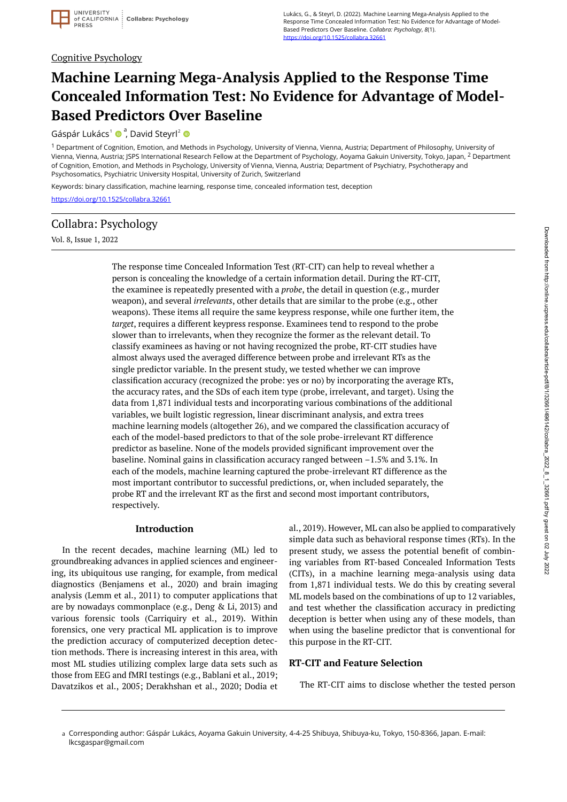### Cognitive Psychology

# **Machine Learning Mega-Analysis Applied to the Response Time Concealed Information Test: No Evidence for Advantage of Model-Based Predictors Over Baseline**

Gáspár Lukács<sup>1</sup> · <sup>a</sup>, David Steyrl<sup>2</sup>

<sup>1</sup> Department of Cognition, Emotion, and Methods in Psychology, University of Vienna, Vienna, Austria; Department of Philosophy, University of Vienna, Vienna, Austria; JSPS International Research Fellow at the Department of Psychology, Aoyama Gakuin University, Tokyo, Japan, <sup>2</sup> Department of Cognition, Emotion, and Methods in Psychology, University of Vienna, Vienna, Austria; Department of Psychiatry, Psychotherapy and Psychosomatics, Psychiatric University Hospital, University of Zurich, Switzerland

Keywords: binary classification, machine learning, response time, concealed information test, deception

<https://doi.org/10.1525/collabra.32661>

# Collabra: Psychology

Vol. 8, Issue 1, 2022

The response time Concealed Information Test (RT-CIT) can help to reveal whether a person is concealing the knowledge of a certain information detail. During the RT-CIT, the examinee is repeatedly presented with a *probe*, the detail in question (e.g., murder weapon), and several *irrelevants*, other details that are similar to the probe (e.g., other weapons). These items all require the same keypress response, while one further item, the *target*, requires a different keypress response. Examinees tend to respond to the probe slower than to irrelevants, when they recognize the former as the relevant detail. To classify examinees as having or not having recognized the probe, RT-CIT studies have almost always used the averaged difference between probe and irrelevant RTs as the single predictor variable. In the present study, we tested whether we can improve classification accuracy (recognized the probe: yes or no) by incorporating the average RTs, the accuracy rates, and the SDs of each item type (probe, irrelevant, and target). Using the data from 1,871 individual tests and incorporating various combinations of the additional variables, we built logistic regression, linear discriminant analysis, and extra trees machine learning models (altogether 26), and we compared the classification accuracy of each of the model-based predictors to that of the sole probe-irrelevant RT difference predictor as baseline. None of the models provided significant improvement over the baseline. Nominal gains in classification accuracy ranged between –1.5% and 3.1%. In each of the models, machine learning captured the probe-irrelevant RT difference as the most important contributor to successful predictions, or, when included separately, the probe RT and the irrelevant RT as the first and second most important contributors, respectively.

#### **Introduction**

In the recent decades, machine learning (ML) led to groundbreaking advances in applied sciences and engineering, its ubiquitous use ranging, for example, from medical diagnostics (Benjamens et al., 2020) and brain imaging analysis (Lemm et al., 2011) to computer applications that are by nowadays commonplace (e.g., Deng & Li, 2013) and various forensic tools (Carriquiry et al., 2019). Within forensics, one very practical ML application is to improve the prediction accuracy of computerized deception detection methods. There is increasing interest in this area, with most ML studies utilizing complex large data sets such as those from EEG and fMRI testings (e.g., Bablani et al., 2019; Davatzikos et al., 2005; Derakhshan et al., 2020; Dodia et al., 2019). However, ML can also be applied to comparatively simple data such as behavioral response times (RTs). In the present study, we assess the potential benefit of combining variables from RT-based Concealed Information Tests (CITs), in a machine learning mega-analysis using data from 1,871 individual tests. We do this by creating several ML models based on the combinations of up to 12 variables, and test whether the classification accuracy in predicting deception is better when using any of these models, than when using the baseline predictor that is conventional for this purpose in the RT-CIT.

#### **RT-CIT and Feature Selection**

The RT-CIT aims to disclose whether the tested person

a Corresponding author: Gáspár Lukács, Aoyama Gakuin University, 4-4-25 Shibuya, Shibuya-ku, Tokyo, 150-8366, Japan. E-mail: lkcsgaspar@gmail.com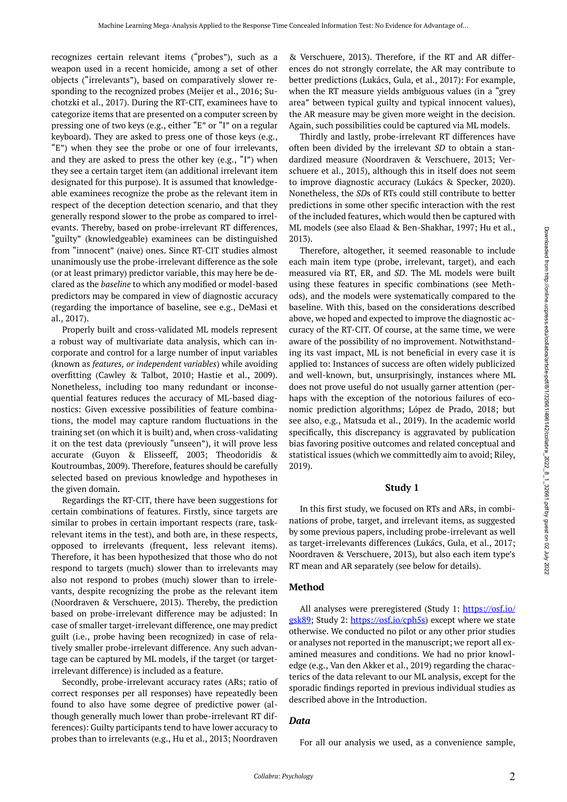recognizes certain relevant items ("probes"), such as a weapon used in a recent homicide, among a set of other objects ("irrelevants"), based on comparatively slower responding to the recognized probes (Meijer et al., 2016; Suchotzki et al., 2017). During the RT-CIT, examinees have to categorize items that are presented on a computer screen by pressing one of two keys (e.g., either "E" or "I" on a regular keyboard). They are asked to press one of those keys (e.g., "E") when they see the probe or one of four irrelevants, and they are asked to press the other key (e.g., "I") when they see a certain target item (an additional irrelevant item designated for this purpose). It is assumed that knowledgeable examinees recognize the probe as the relevant item in respect of the deception detection scenario, and that they generally respond slower to the probe as compared to irrelevants. Thereby, based on probe-irrelevant RT differences, "guilty" (knowledgeable) examinees can be distinguished from "innocent" (naive) ones. Since RT-CIT studies almost unanimously use the probe-irrelevant difference as the sole (or at least primary) predictor variable, this may here be declared as the *baseline* to which any modified or model-based predictors may be compared in view of diagnostic accuracy (regarding the importance of baseline, see e.g., DeMasi et al., 2017).

Properly built and cross-validated ML models represent a robust way of multivariate data analysis, which can incorporate and control for a large number of input variables (known as *features, or independent variables*) while avoiding overfitting (Cawley & Talbot, 2010; Hastie et al., 2009). Nonetheless, including too many redundant or inconsequential features reduces the accuracy of ML-based diagnostics: Given excessive possibilities of feature combinations, the model may capture random fluctuations in the training set (on which it is built) and, when cross-validating it on the test data (previously "unseen"), it will prove less accurate (Guyon & Elisseeff, 2003; Theodoridis & Koutroumbas, 2009). Therefore, features should be carefully selected based on previous knowledge and hypotheses in the given domain.

Regardings the RT-CIT, there have been suggestions for certain combinations of features. Firstly, since targets are similar to probes in certain important respects (rare, taskrelevant items in the test), and both are, in these respects, opposed to irrelevants (frequent, less relevant items). Therefore, it has been hypothesized that those who do not respond to targets (much) slower than to irrelevants may also not respond to probes (much) slower than to irrelevants, despite recognizing the probe as the relevant item (Noordraven & Verschuere, 2013). Thereby, the prediction based on probe-irrelevant difference may be adjusted: In case of smaller target-irrelevant difference, one may predict guilt (i.e., probe having been recognized) in case of relatively smaller probe-irrelevant difference. Any such advantage can be captured by ML models, if the target (or targetirrelevant difference) is included as a feature.

Secondly, probe-irrelevant accuracy rates (ARs; ratio of correct responses per all responses) have repeatedly been found to also have some degree of predictive power (although generally much lower than probe-irrelevant RT differences): Guilty participants tend to have lower accuracy to probes than to irrelevants (e.g., Hu et al., 2013; Noordraven

& Verschuere, 2013). Therefore, if the RT and AR differences do not strongly correlate, the AR may contribute to better predictions (Lukács, Gula, et al., 2017): For example, when the RT measure yields ambiguous values (in a "grey area" between typical guilty and typical innocent values), the AR measure may be given more weight in the decision. Again, such possibilities could be captured via ML models.

Thirdly and lastly, probe-irrelevant RT differences have often been divided by the irrelevant *SD* to obtain a standardized measure (Noordraven & Verschuere, 2013; Verschuere et al., 2015), although this in itself does not seem to improve diagnostic accuracy (Lukács & Specker, 2020). Nonetheless, the *SD*s of RTs could still contribute to better predictions in some other specific interaction with the rest of the included features, which would then be captured with ML models (see also Elaad & Ben-Shakhar, 1997; Hu et al., 2013).

Therefore, altogether, it seemed reasonable to include each main item type (probe, irrelevant, target), and each measured via RT, ER, and *SD*. The ML models were built using these features in specific combinations (see Methods), and the models were systematically compared to the baseline. With this, based on the considerations described above, we hoped and expected to improve the diagnostic accuracy of the RT-CIT. Of course, at the same time, we were aware of the possibility of no improvement. Notwithstanding its vast impact, ML is not beneficial in every case it is applied to: Instances of success are often widely publicized and well-known, but, unsurprisingly, instances where ML does not prove useful do not usually garner attention (perhaps with the exception of the notorious failures of economic prediction algorithms; López de Prado, 2018; but see also, e.g., Matsuda et al., 2019). In the academic world specifically, this discrepancy is aggravated by publication bias favoring positive outcomes and related conceptual and statistical issues (which we committedly aim to avoid; Riley, 2019).

#### **Study 1**

In this first study, we focused on RTs and ARs, in combinations of probe, target, and irrelevant items, as suggested by some previous papers, including probe-irrelevant as well as target-irrelevants differences (Lukács, Gula, et al., 2017; Noordraven & Verschuere, 2013), but also each item type's RT mean and AR separately (see below for details).

## **Method**

All analyses were preregistered (Study 1: [https://osf.io/](https://osf.io/gsk89) [gsk89;](https://osf.io/gsk89) Study 2: [https://osf.io/cph5s\)](https://osf.io/cph5s) except where we state otherwise. We conducted no pilot or any other prior studies or analyses not reported in the manuscript; we report all examined measures and conditions. We had no prior knowledge (e.g., Van den Akker et al., 2019) regarding the characterics of the data relevant to our ML analysis, except for the sporadic findings reported in previous individual studies as described above in the Introduction.

## *Data*

For all our analysis we used, as a convenience sample,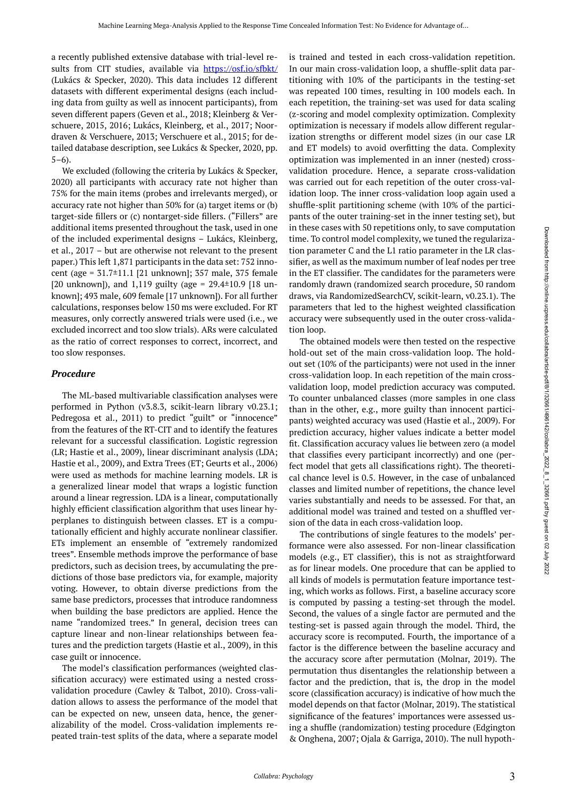a recently published extensive database with trial-level results from CIT studies, available via <https://osf.io/sfbkt/> (Lukács & Specker, 2020). This data includes 12 different datasets with different experimental designs (each including data from guilty as well as innocent participants), from seven different papers (Geven et al., 2018; Kleinberg & Verschuere, 2015, 2016; Lukács, Kleinberg, et al., 2017; Noordraven & Verschuere, 2013; Verschuere et al., 2015; for detailed database description, see Lukács & Specker, 2020, pp.  $5-6$ ).

We excluded (following the criteria by Lukács & Specker, 2020) all participants with accuracy rate not higher than 75% for the main items (probes and irrelevants merged), or accuracy rate not higher than 50% for (a) target items or (b) target-side fillers or (c) nontarget-side fillers. ("Fillers" are additional items presented throughout the task, used in one of the included experimental designs – Lukács, Kleinberg, et al., 2017 – but are otherwise not relevant to the present paper.) This left 1,871 participants in the data set: 752 innocent (age = 31.7±11.1 [21 unknown]; 357 male, 375 female [20 unknown]), and 1,119 guilty (age =  $29.4 \pm 10.9$  [18 unknown]; 493 male, 609 female [17 unknown]). For all further calculations, responses below 150 ms were excluded. For RT measures, only correctly answered trials were used (i.e., we excluded incorrect and too slow trials). ARs were calculated as the ratio of correct responses to correct, incorrect, and too slow responses.

#### *Procedure*

The ML-based multivariable classification analyses were performed in Python (v3.8.3, scikit-learn library v0.23.1; Pedregosa et al., 2011) to predict "guilt" or "innocence" from the features of the RT-CIT and to identify the features relevant for a successful classification. Logistic regression (LR; Hastie et al., 2009), linear discriminant analysis (LDA; Hastie et al., 2009), and Extra Trees (ET; Geurts et al., 2006) were used as methods for machine learning models. LR is a generalized linear model that wraps a logistic function around a linear regression. LDA is a linear, computationally highly efficient classification algorithm that uses linear hyperplanes to distinguish between classes. ET is a computationally efficient and highly accurate nonlinear classifier. ETs implement an ensemble of "extremely randomized trees". Ensemble methods improve the performance of base predictors, such as decision trees, by accumulating the predictions of those base predictors via, for example, majority voting. However, to obtain diverse predictions from the same base predictors, processes that introduce randomness when building the base predictors are applied. Hence the name "randomized trees." In general, decision trees can capture linear and non-linear relationships between features and the prediction targets (Hastie et al., 2009), in this case guilt or innocence.

The model's classification performances (weighted classification accuracy) were estimated using a nested crossvalidation procedure (Cawley & Talbot, 2010). Cross-validation allows to assess the performance of the model that can be expected on new, unseen data, hence, the generalizability of the model. Cross-validation implements repeated train-test splits of the data, where a separate model

is trained and tested in each cross-validation repetition. In our main cross-validation loop, a shuffle-split data partitioning with 10% of the participants in the testing-set was repeated 100 times, resulting in 100 models each. In each repetition, the training-set was used for data scaling (z-scoring and model complexity optimization. Complexity optimization is necessary if models allow different regularization strengths or different model sizes (in our case LR and ET models) to avoid overfitting the data. Complexity optimization was implemented in an inner (nested) crossvalidation procedure. Hence, a separate cross-validation was carried out for each repetition of the outer cross-validation loop. The inner cross-validation loop again used a shuffle-split partitioning scheme (with 10% of the participants of the outer training-set in the inner testing set), but in these cases with 50 repetitions only, to save computation time. To control model complexity, we tuned the regularization parameter C and the L1 ratio parameter in the LR classifier, as well as the maximum number of leaf nodes per tree in the ET classifier. The candidates for the parameters were randomly drawn (randomized search procedure, 50 random draws, via RandomizedSearchCV, scikit-learn, v0.23.1). The parameters that led to the highest weighted classification accuracy were subsequently used in the outer cross-validation loop.

The obtained models were then tested on the respective hold-out set of the main cross-validation loop. The holdout set (10% of the participants) were not used in the inner cross-validation loop. In each repetition of the main crossvalidation loop, model prediction accuracy was computed. To counter unbalanced classes (more samples in one class than in the other, e.g., more guilty than innocent participants) weighted accuracy was used (Hastie et al., 2009). For prediction accuracy, higher values indicate a better model fit. Classification accuracy values lie between zero (a model that classifies every participant incorrectly) and one (perfect model that gets all classifications right). The theoretical chance level is 0.5. However, in the case of unbalanced classes and limited number of repetitions, the chance level varies substantially and needs to be assessed. For that, an additional model was trained and tested on a shuffled version of the data in each cross-validation loop.

The contributions of single features to the models' performance were also assessed. For non-linear classification models (e.g., ET classifier), this is not as straightforward as for linear models. One procedure that can be applied to all kinds of models is permutation feature importance testing, which works as follows. First, a baseline accuracy score is computed by passing a testing-set through the model. Second, the values of a single factor are permuted and the testing-set is passed again through the model. Third, the accuracy score is recomputed. Fourth, the importance of a factor is the difference between the baseline accuracy and the accuracy score after permutation (Molnar, 2019). The permutation thus disentangles the relationship between a factor and the prediction, that is, the drop in the model score (classification accuracy) is indicative of how much the model depends on that factor (Molnar, 2019). The statistical significance of the features' importances were assessed using a shuffle (randomization) testing procedure (Edgington & Onghena, 2007; Ojala & Garriga, 2010). The null hypoth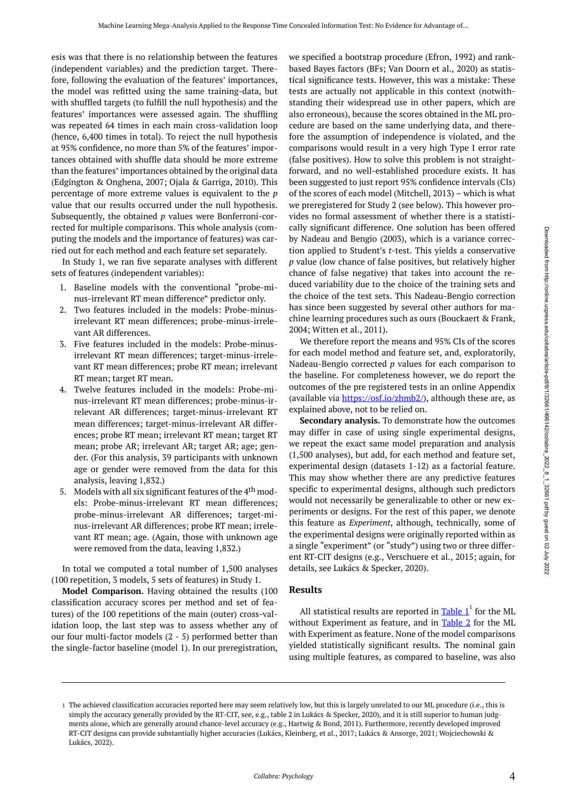esis was that there is no relationship between the features (independent variables) and the prediction target. Therefore, following the evaluation of the features' importances, the model was refitted using the same training-data, but with shuffled targets (to fulfill the null hypothesis) and the features' importances were assessed again. The shuffling was repeated 64 times in each main cross-validation loop (hence, 6,400 times in total). To reject the null hypothesis at 95% confidence, no more than 5% of the features' importances obtained with shuffle data should be more extreme than the features' importances obtained by the original data (Edgington & Onghena, 2007; Ojala & Garriga, 2010). This percentage of more extreme values is equivalent to the *p*  value that our results occurred under the null hypothesis. Subsequently, the obtained *p* values were Bonferroni-corrected for multiple comparisons. This whole analysis (computing the models and the importance of features) was carried out for each method and each feature set separately.

In Study 1, we ran five separate analyses with different sets of features (independent variables):

- 1. Baseline models with the conventional "probe-minus-irrelevant RT mean difference" predictor only.
- 2. Two features included in the models: Probe-minusirrelevant RT mean differences; probe-minus-irrelevant AR differences.
- 3. Five features included in the models: Probe-minusirrelevant RT mean differences; target-minus-irrelevant RT mean differences; probe RT mean; irrelevant RT mean; target RT mean.
- 4. Twelve features included in the models: Probe-minus-irrelevant RT mean differences; probe-minus-irrelevant AR differences; target-minus-irrelevant RT mean differences; target-minus-irrelevant AR differences; probe RT mean; irrelevant RT mean; target RT mean; probe AR; irrelevant AR; target AR; age; gender. (For this analysis, 39 participants with unknown age or gender were removed from the data for this analysis, leaving 1,832.)
- 5. Models with all six significant features of the  $4<sup>th</sup>$  models: Probe-minus-irrelevant RT mean differences; probe-minus-irrelevant AR differences; target-minus-irrelevant AR differences; probe RT mean; irrelevant RT mean; age. (Again, those with unknown age were removed from the data, leaving 1,832.)

In total we computed a total number of 1,500 analyses (100 repetition, 3 models, 5 sets of features) in Study 1.

**Model Comparison.** Having obtained the results (100 classification accuracy scores per method and set of features) of the 100 repetitions of the main (outer) cross-validation loop, the last step was to assess whether any of our four multi-factor models (2 - 5) performed better than the single-factor baseline (model 1). In our preregistration,

we specified a bootstrap procedure (Efron, 1992) and rankbased Bayes factors (BFs; Van Doorn et al., 2020) as statistical significance tests. However, this was a mistake: These tests are actually not applicable in this context (notwithstanding their widespread use in other papers, which are also erroneous), because the scores obtained in the ML procedure are based on the same underlying data, and therefore the assumption of independence is violated, and the comparisons would result in a very high Type I error rate (false positives). How to solve this problem is not straightforward, and no well-established procedure exists. It has been suggested to just report 95% confidence intervals (CIs) of the scores of each model (Mitchell, 2013) – which is what we preregistered for Study 2 (see below). This however provides no formal assessment of whether there is a statistically significant difference. One solution has been offered by Nadeau and Bengio (2003), which is a variance correction applied to Student's *t*-test. This yields a conservative *p* value (low chance of false positives, but relatively higher chance of false negative) that takes into account the reduced variability due to the choice of the training sets and the choice of the test sets. This Nadeau-Bengio correction has since been suggested by several other authors for machine learning procedures such as ours (Bouckaert & Frank, 2004; Witten et al., 2011).

We therefore report the means and 95% CIs of the scores for each model method and feature set, and, exploratorily, Nadeau-Bengio corrected *p* values for each comparison to the baseline. For completeness however, we do report the outcomes of the pre registered tests in an online Appendix (available via [https://osf.io/zhmb2/\)](https://osf.io/zhmb2/), although these are, as explained above, not to be relied on.

**Secondary analysis.** To demonstrate how the outcomes may differ in case of using single experimental designs, we repeat the exact same model preparation and analysis (1,500 analyses), but add, for each method and feature set, experimental design (datasets 1-12) as a factorial feature. This may show whether there are any predictive features specific to experimental designs, although such predictors would not necessarily be generalizable to other or new experiments or designs. For the rest of this paper, we denote this feature as *Experiment*, although, technically, some of the experimental designs were originally reported within as a single "experiment" (or "study") using two or three different RT-CIT designs (e.g., Verschuere et al., 2015; again, for details, see Lukács & Specker, 2020).

#### **Results**

All statistical results are reported in  $\text{Table 1}^1$  for the ML without Experiment as feature, and in [Table 2](#page-4-1) for the ML with Experiment as feature. None of the model comparisons yielded statistically significant results. The nominal gain using multiple features, as compared to baseline, was also

The achieved classification accuracies reported here may seem relatively low, but this is largely unrelated to our ML procedure (i.e., this is 1 simply the accuracy generally provided by the RT-CIT, see, e.g., table 2 in Lukács & Specker, 2020), and it is still superior to human judgments alone, which are generally around chance-level accuracy (e.g., Hartwig & Bond, 2011). Furthermore, recently developed improved RT-CIT designs can provide substantially higher accuracies (Lukács, Kleinberg, et al., 2017; Lukács & Ansorge, 2021; Wojciechowski & Lukács, 2022).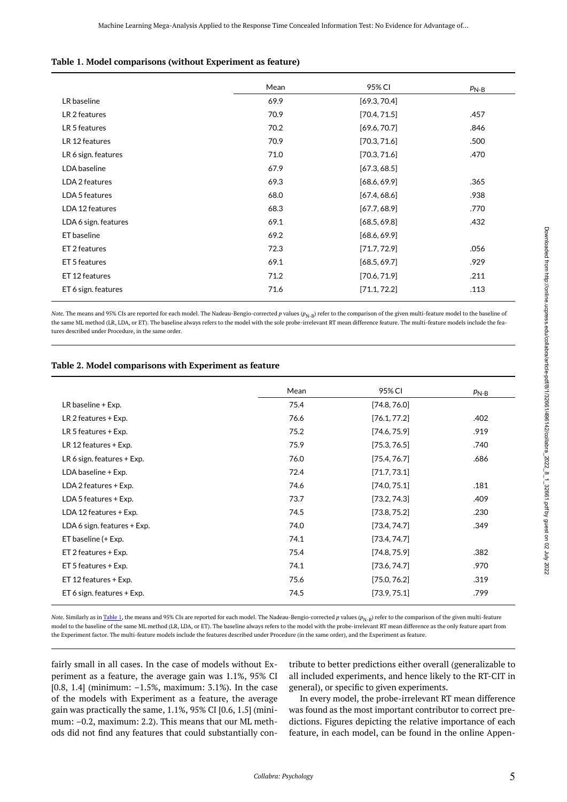#### <span id="page-4-0"></span>**Table 1. Model comparisons (without Experiment as feature)**

|                      | Mean | 95% CI       | $P_{N-B}$ |
|----------------------|------|--------------|-----------|
| LR baseline          | 69.9 | [69.3, 70.4] |           |
| LR 2 features        | 70.9 | [70.4, 71.5] | .457      |
| LR 5 features        | 70.2 | [69.6, 70.7] | .846      |
| LR 12 features       | 70.9 | [70.3, 71.6] | .500      |
| LR 6 sign. features  | 71.0 | [70.3, 71.6] | .470      |
| LDA baseline         | 67.9 | [67.3, 68.5] |           |
| LDA 2 features       | 69.3 | [68.6, 69.9] | .365      |
| LDA 5 features       | 68.0 | [67.4, 68.6] | .938      |
| LDA 12 features      | 68.3 | [67.7, 68.9] | .770      |
| LDA 6 sign. features | 69.1 | [68.5, 69.8] | .432      |
| ET baseline          | 69.2 | [68.6, 69.9] |           |
| ET 2 features        | 72.3 | [71.7, 72.9] | .056      |
| ET 5 features        | 69.1 | [68.5, 69.7] | .929      |
| ET 12 features       | 71.2 | [70.6, 71.9] | .211      |
| ET 6 sign. features  | 71.6 | [71.1, 72.2] | .113      |

*Note*. The means and 95% CIs are reported for each model. The Nadeau-Bengio-corrected *p* values ( $p_{N-B}$ ) refer to the comparison of the given multi-feature model to the baseline of the same ML method (LR, LDA, or ET). The baseline always refers to the model with the sole probe-irrelevant RT mean difference feature. The multi-feature models include the features described under Procedure, in the same order.

#### <span id="page-4-1"></span>**Table 2. Model comparisons with Experiment as feature**

|                              | Mean | 95% CI       | $P_{N-B}$ |
|------------------------------|------|--------------|-----------|
| LR baseline + Exp.           | 75.4 | [74.8, 76.0] |           |
| LR 2 features + Exp.         | 76.6 | [76.1, 77.2] | .402      |
| LR 5 features + Exp.         | 75.2 | [74.6, 75.9] | .919      |
| LR 12 features + Exp.        | 75.9 | [75.3, 76.5] | .740      |
| LR 6 sign. features $+$ Exp. | 76.0 | [75.4, 76.7] | .686      |
| LDA baseline + Exp.          | 72.4 | [71.7, 73.1] |           |
| LDA 2 features + Exp.        | 74.6 | [74.0, 75.1] | .181      |
| LDA 5 features + Exp.        | 73.7 | [73.2, 74.3] | .409      |
| LDA 12 features + Exp.       | 74.5 | [73.8, 75.2] | .230      |
| LDA 6 sign. features + Exp.  | 74.0 | [73.4, 74.7] | .349      |
| ET baseline (+ Exp.          | 74.1 | [73.4, 74.7] |           |
| ET 2 features + Exp.         | 75.4 | [74.8, 75.9] | .382      |
| ET 5 features + Exp.         | 74.1 | [73.6, 74.7] | .970      |
| ET 12 features + Exp.        | 75.6 | [75.0, 76.2] | .319      |
| ET 6 sign. features + Exp.   | 74.5 | [73.9, 75.1] | .799      |

*Note.* Similarly as in [Table 1,](#page-4-0) the means and 95% CIs are reported for each model. The Nadeau-Bengio-corrected *p* values ( $p_{N-B}$ ) refer to the comparison of the given multi-feature model to the baseline of the same ML method (LR, LDA, or ET). The baseline always refers to the model with the probe-irrelevant RT mean difference as the only feature apart from the Experiment factor. The multi-feature models include the features described under Procedure (in the same order), and the Experiment as feature.

fairly small in all cases. In the case of models without Experiment as a feature, the average gain was 1.1%, 95% CI [0.8, 1.4] (minimum: –1.5%, maximum: 3.1%). In the case of the models with Experiment as a feature, the average gain was practically the same, 1.1%, 95% CI [0.6, 1.5] (minimum: –0.2, maximum: 2.2). This means that our ML methods did not find any features that could substantially con-

tribute to better predictions either overall (generalizable to all included experiments, and hence likely to the RT-CIT in general), or specific to given experiments.

In every model, the probe-irrelevant RT mean difference was found as the most important contributor to correct predictions. Figures depicting the relative importance of each feature, in each model, can be found in the online Appen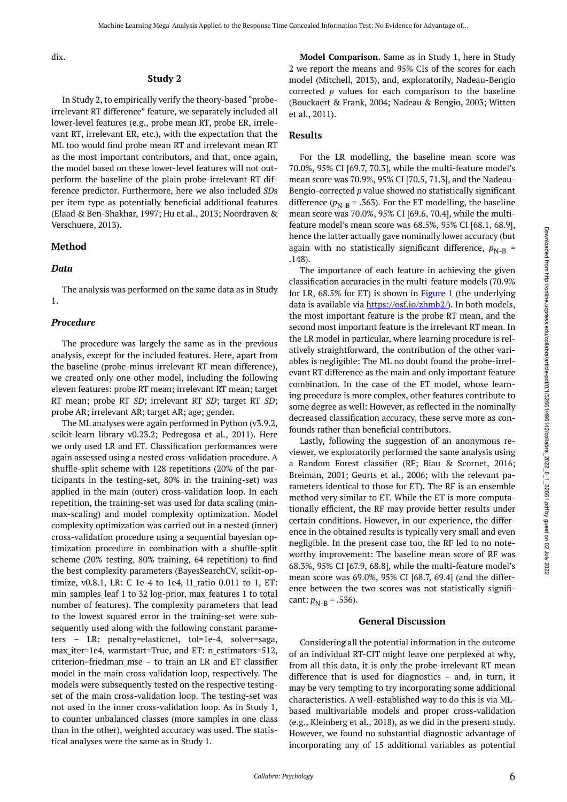dix.

#### **Study 2**

In Study 2, to empirically verify the theory-based "probeirrelevant RT difference" feature, we separately included all lower-level features (e.g., probe mean RT, probe ER, irrelevant RT, irrelevant ER, etc.), with the expectation that the ML too would find probe mean RT and irrelevant mean RT as the most important contributors, and that, once again, the model based on these lower-level features will not outperform the baseline of the plain probe-irrelevant RT difference predictor. Furthermore, here we also included *SD*s per item type as potentially beneficial additional features (Elaad & Ben-Shakhar, 1997; Hu et al., 2013; Noordraven & Verschuere, 2013).

#### **Method**

#### *Data*

The analysis was performed on the same data as in Study 1.

#### *Procedure*

The procedure was largely the same as in the previous analysis, except for the included features. Here, apart from the baseline (probe-minus-irrelevant RT mean difference), we created only one other model, including the following eleven features: probe RT mean; irrelevant RT mean; target RT mean; probe RT *SD*; irrelevant RT *SD*; target RT *SD*; probe AR; irrelevant AR; target AR; age; gender.

The ML analyses were again performed in Python (v3.9.2, scikit-learn library v0.23.2; Pedregosa et al., 2011). Here we only used LR and ET. Classification performances were again assessed using a nested cross-validation procedure. A shuffle-split scheme with 128 repetitions (20% of the participants in the testing-set, 80% in the training-set) was applied in the main (outer) cross-validation loop. In each repetition, the training-set was used for data scaling (minmax-scaling) and model complexity optimization. Model complexity optimization was carried out in a nested (inner) cross-validation procedure using a sequential bayesian optimization procedure in combination with a shuffle-split scheme (20% testing, 80% training, 64 repetition) to find the best complexity parameters (BayesSearchCV, scikit-optimize, v0.8.1, LR: C 1e-4 to 1e4, l1\_ratio 0.011 to 1, ET: min samples leaf 1 to 32 log-prior, max features 1 to total number of features). The complexity parameters that lead to the lowest squared error in the training-set were subsequently used along with the following constant parameters – LR: penalty=elasticnet, tol=1e-4, solver=saga, max\_iter=1e4, warmstart=True, and ET: n\_estimators=512, criterion=friedman\_mse – to train an LR and ET classifier model in the main cross-validation loop, respectively. The models were subsequently tested on the respective testingset of the main cross-validation loop. The testing-set was not used in the inner cross-validation loop. As in Study 1, to counter unbalanced classes (more samples in one class than in the other), weighted accuracy was used. The statistical analyses were the same as in Study 1.

**Model Comparison.** Same as in Study 1, here in Study 2 we report the means and 95% CIs of the scores for each model (Mitchell, 2013), and, exploratorily, Nadeau-Bengio corrected *p* values for each comparison to the baseline (Bouckaert & Frank, 2004; Nadeau & Bengio, 2003; Witten et al., 2011).

#### **Results**

For the LR modelling, the baseline mean score was 70.0%, 95% CI [69.7, 70.3], while the multi-feature model's mean score was 70.9%, 95% CI [70.5, 71.3], and the Nadeau-Bengio-corrected *p* value showed no statistically significant difference ( $p_{N-B}$  = .363). For the ET modelling, the baseline mean score was 70.0%, 95% CI [69.6, 70.4], while the multifeature model's mean score was 68.5%, 95% CI [68.1, 68.9], hence the latter actually gave nominally lower accuracy (but again with no statistically significant difference,  $p_{N-R}$  = .148).

The importance of each feature in achieving the given classification accuracies in the multi-feature models (70.9% for LR,  $68.5\%$  for ET) is shown in **[Figure 1](#page-6-0)** (the underlying data is available via <https://osf.io/zhmb2/>). In both models, the most important feature is the probe RT mean, and the second most important feature is the irrelevant RT mean. In the LR model in particular, where learning procedure is relatively straightforward, the contribution of the other variables is negligible: The ML no doubt found the probe-irrelevant RT difference as the main and only important feature combination. In the case of the ET model, whose learning procedure is more complex, other features contribute to some degree as well: However, as reflected in the nominally decreased classification accuracy, these serve more as confounds rather than beneficial contributors.

Lastly, following the suggestion of an anonymous reviewer, we exploratorily performed the same analysis using a Random Forest classifier (RF; Biau & Scornet, 2016; Breiman, 2001; Geurts et al., 2006; with the relevant parameters identical to those for ET). The RF is an ensemble method very similar to ET. While the ET is more computationally efficient, the RF may provide better results under certain conditions. However, in our experience, the difference in the obtained results is typically very small and even negligible. In the present case too, the RF led to no noteworthy improvement: The baseline mean score of RF was 68.3%, 95% CI [67.9, 68.8], while the multi-feature model's mean score was 69.0%, 95% CI [68.7, 69.4] (and the difference between the two scores was not statistically significant:  $p_{N-R} = .536$ ).

#### **General Discussion**

Considering all the potential information in the outcome of an individual RT-CIT might leave one perplexed at why, from all this data, it is only the probe-irrelevant RT mean difference that is used for diagnostics – and, in turn, it may be very tempting to try incorporating some additional characteristics. A well-established way to do this is via MLbased multivariable models and proper cross-validation (e.g., Kleinberg et al., 2018), as we did in the present study. However, we found no substantial diagnostic advantage of incorporating any of 15 additional variables as potential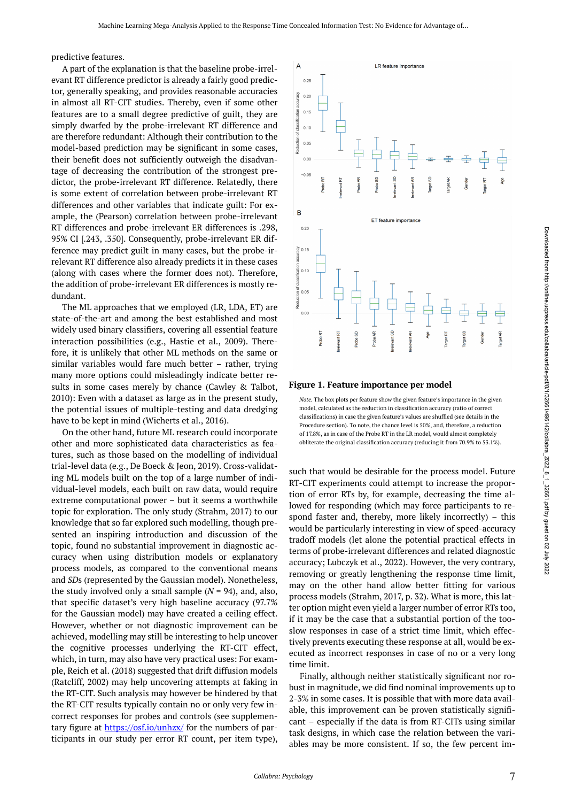<span id="page-6-0"></span>predictive features.

A part of the explanation is that the baseline probe-irrelevant RT difference predictor is already a fairly good predictor, generally speaking, and provides reasonable accuracies in almost all RT-CIT studies. Thereby, even if some other features are to a small degree predictive of guilt, they are simply dwarfed by the probe-irrelevant RT difference and are therefore redundant: Although their contribution to the model-based prediction may be significant in some cases, their benefit does not sufficiently outweigh the disadvantage of decreasing the contribution of the strongest predictor, the probe-irrelevant RT difference. Relatedly, there is some extent of correlation between probe-irrelevant RT differences and other variables that indicate guilt: For example, the (Pearson) correlation between probe-irrelevant RT differences and probe-irrelevant ER differences is .298, 95% CI [.243, .350]. Consequently, probe-irrelevant ER difference may predict guilt in many cases, but the probe-irrelevant RT difference also already predicts it in these cases (along with cases where the former does not). Therefore, the addition of probe-irrelevant ER differences is mostly redundant.

The ML approaches that we employed (LR, LDA, ET) are state-of-the-art and among the best established and most widely used binary classifiers, covering all essential feature interaction possibilities (e.g., Hastie et al., 2009). Therefore, it is unlikely that other ML methods on the same or similar variables would fare much better – rather, trying many more options could misleadingly indicate better results in some cases merely by chance (Cawley & Talbot, 2010): Even with a dataset as large as in the present study, the potential issues of multiple-testing and data dredging have to be kept in mind (Wicherts et al., 2016).

On the other hand, future ML research could incorporate other and more sophisticated data characteristics as features, such as those based on the modelling of individual trial-level data (e.g., De Boeck & Jeon, 2019). Cross-validating ML models built on the top of a large number of individual-level models, each built on raw data, would require extreme computational power – but it seems a worthwhile topic for exploration. The only study (Strahm, 2017) to our knowledge that so far explored such modelling, though presented an inspiring introduction and discussion of the topic, found no substantial improvement in diagnostic accuracy when using distribution models or explanatory process models, as compared to the conventional means and *SD*s (represented by the Gaussian model). Nonetheless, the study involved only a small sample  $(N = 94)$ , and, also, that specific dataset's very high baseline accuracy (97.7% for the Gaussian model) may have created a ceiling effect. However, whether or not diagnostic improvement can be achieved, modelling may still be interesting to help uncover the cognitive processes underlying the RT-CIT effect, which, in turn, may also have very practical uses: For example, Reich et al. (2018) suggested that drift diffusion models (Ratcliff, 2002) may help uncovering attempts at faking in the RT-CIT. Such analysis may however be hindered by that the RT-CIT results typically contain no or only very few incorrect responses for probes and controls (see supplementary figure at <https://osf.io/unhzx/> for the numbers of participants in our study per error RT count, per item type),



#### **Figure 1. Feature importance per model**

*Note*. The box plots per feature show the given feature's importance in the given model, calculated as the reduction in classification accuracy (ratio of correct classifications) in case the given feature's values are shuffled (see details in the Procedure section). To note, the chance level is 50%, and, therefore, a reduction of 17.8%, as in case of the Probe RT in the LR model, would almost completely obliterate the original classification accuracy (reducing it from 70.9% to 53.1%).

such that would be desirable for the process model. Future RT-CIT experiments could attempt to increase the proportion of error RTs by, for example, decreasing the time allowed for responding (which may force participants to respond faster and, thereby, more likely incorrectly) – this would be particularly interesting in view of speed-accuracy tradoff models (let alone the potential practical effects in terms of probe-irrelevant differences and related diagnostic accuracy; Lubczyk et al., 2022). However, the very contrary, removing or greatly lengthening the response time limit, may on the other hand allow better fitting for various process models (Strahm, 2017, p. 32). What is more, this latter option might even yield a larger number of error RTs too, if it may be the case that a substantial portion of the tooslow responses in case of a strict time limit, which effectively prevents executing these response at all, would be executed as incorrect responses in case of no or a very long time limit.

Finally, although neither statistically significant nor robust in magnitude, we did find nominal improvements up to 2-3% in some cases. It is possible that with more data available, this improvement can be proven statistically significant – especially if the data is from RT-CITs using similar task designs, in which case the relation between the variables may be more consistent. If so, the few percent im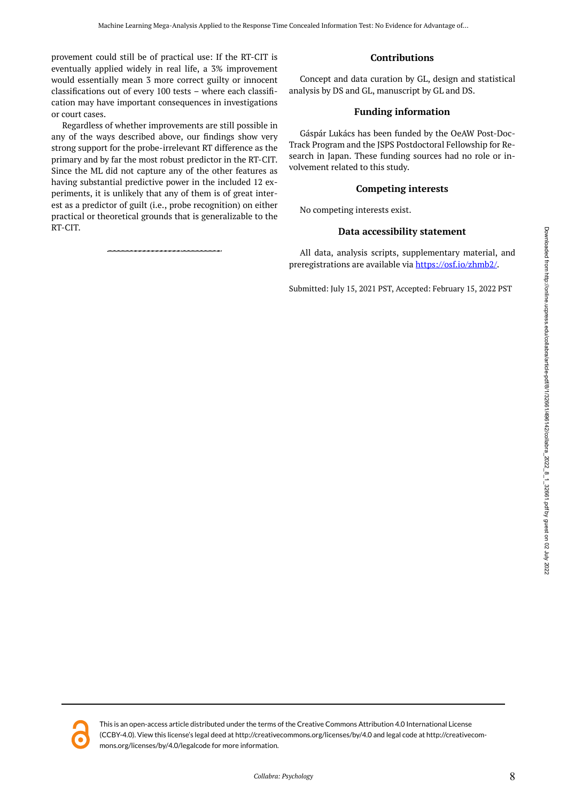provement could still be of practical use: If the RT-CIT is eventually applied widely in real life, a 3% improvement would essentially mean 3 more correct guilty or innocent classifications out of every 100 tests – where each classification may have important consequences in investigations or court cases.

Regardless of whether improvements are still possible in any of the ways described above, our findings show very strong support for the probe-irrelevant RT difference as the primary and by far the most robust predictor in the RT-CIT. Since the ML did not capture any of the other features as having substantial predictive power in the included 12 experiments, it is unlikely that any of them is of great interest as a predictor of guilt (i.e., probe recognition) on either practical or theoretical grounds that is generalizable to the RT-CIT.

# **Contributions**

Concept and data curation by GL, design and statistical analysis by DS and GL, manuscript by GL and DS.

## **Funding information**

Gáspár Lukács has been funded by the OeAW Post-Doc-Track Program and the JSPS Postdoctoral Fellowship for Research in Japan. These funding sources had no role or involvement related to this study.

# **Competing interests**

No competing interests exist.

# **Data accessibility statement**

All data, analysis scripts, supplementary material, and preregistrations are available via [https://osf.io/zhmb2/.](https://osf.io/zhmb2/)

Submitted: July 15, 2021 PST, Accepted: February 15, 2022 PST

Downloaded from http://online.ucpress.edu/collabra/article-pdf/81/122661/496142/collabra\_2022\_8\_1\_32661.pdf by guest on 02 July 2022 Downloaded from http://online.ucpress.edu/collabra/article-pdf/8/1/32/661/42/collabra\_2022\_8\_1\_32661.pdf by guest on 02 July 2022



This is an open-access article distributed under the terms of the Creative Commons Attribution 4.0 International License (CCBY-4.0). View this license's legal deed at http://creativecommons.org/licenses/by/4.0 and legal code at http://creativecommons.org/licenses/by/4.0/legalcode for more information.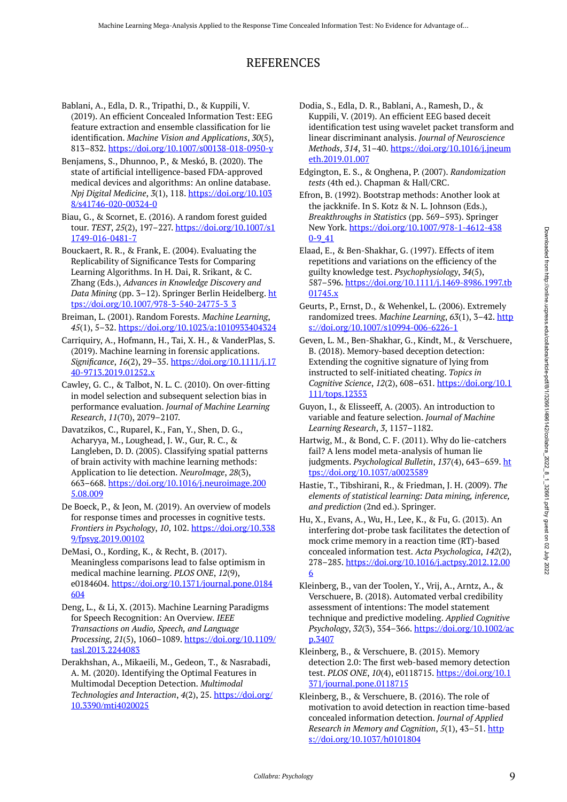# REFERENCES

- Bablani, A., Edla, D. R., Tripathi, D., & Kuppili, V. (2019). An efficient Concealed Information Test: EEG feature extraction and ensemble classification for lie identification. *Machine Vision and Applications*, *30*(5), 813–832. <https://doi.org/10.1007/s00138-018-0950-y>
- Benjamens, S., Dhunnoo, P., & Meskó, B. (2020). The state of artificial intelligence-based FDA-approved medical devices and algorithms: An online database. *Npj Digital Medicine*, *3*(1), 118. [https://doi.org/10.103](https://doi.org/10.1038/s41746-020-00324-0) [8/s41746-020-00324-0](https://doi.org/10.1038/s41746-020-00324-0)
- Biau, G., & Scornet, E. (2016). A random forest guided tour. *TEST*, *25*(2), 197–227. [https://doi.org/10.1007/s1](https://doi.org/10.1007/s11749-016-0481-7) [1749-016-0481-7](https://doi.org/10.1007/s11749-016-0481-7)
- Bouckaert, R. R., & Frank, E. (2004). Evaluating the Replicability of Significance Tests for Comparing Learning Algorithms. In H. Dai, R. Srikant, & C. Zhang (Eds.), *Advances in Knowledge Discovery and Data Mining* (pp. 3–12). Springer Berlin Heidelberg. [ht](https://doi.org/10.1007/978-3-540-24775-3_3) [tps://doi.org/10.1007/978-3-540-24775-3\\_3](https://doi.org/10.1007/978-3-540-24775-3_3)
- Breiman, L. (2001). Random Forests. *Machine Learning*, *45*(1), 5–32.<https://doi.org/10.1023/a:1010933404324>
- Carriquiry, A., Hofmann, H., Tai, X. H., & VanderPlas, S. (2019). Machine learning in forensic applications. *Significance*, *16*(2), 29–35. [https://doi.org/10.1111/j.17](https://doi.org/10.1111/j.1740-9713.2019.01252.x) [40-9713.2019.01252.x](https://doi.org/10.1111/j.1740-9713.2019.01252.x)
- Cawley, G. C., & Talbot, N. L. C. (2010). On over-fitting in model selection and subsequent selection bias in performance evaluation. *Journal of Machine Learning Research*, *11*(70), 2079–2107.
- Davatzikos, C., Ruparel, K., Fan, Y., Shen, D. G., Acharyya, M., Loughead, J. W., Gur, R. C., & Langleben, D. D. (2005). Classifying spatial patterns of brain activity with machine learning methods: Application to lie detection. *NeuroImage*, *28*(3), 663–668. [https://doi.org/10.1016/j.neuroimage.200](https://doi.org/10.1016/j.neuroimage.2005.08.009) [5.08.009](https://doi.org/10.1016/j.neuroimage.2005.08.009)
- De Boeck, P., & Jeon, M. (2019). An overview of models for response times and processes in cognitive tests. *Frontiers in Psychology*, *10*, 102. [https://doi.org/10.338](https://doi.org/10.3389/fpsyg.2019.00102) [9/fpsyg.2019.00102](https://doi.org/10.3389/fpsyg.2019.00102)
- DeMasi, O., Kording, K., & Recht, B. (2017). Meaningless comparisons lead to false optimism in medical machine learning. *PLOS ONE*, *12*(9), e0184604. [https://doi.org/10.1371/journal.pone.0184](https://doi.org/10.1371/journal.pone.0184604) [604](https://doi.org/10.1371/journal.pone.0184604)
- Deng, L., & Li, X. (2013). Machine Learning Paradigms for Speech Recognition: An Overview. *IEEE Transactions on Audio, Speech, and Language Processing*, *21*(5), 1060–1089. [https://doi.org/10.1109/](https://doi.org/10.1109/tasl.2013.2244083) [tasl.2013.2244083](https://doi.org/10.1109/tasl.2013.2244083)
- Derakhshan, A., Mikaeili, M., Gedeon, T., & Nasrabadi, A. M. (2020). Identifying the Optimal Features in Multimodal Deception Detection. *Multimodal Technologies and Interaction*, *4*(2), 25. [https://doi.org/](https://doi.org/10.3390/mti4020025) [10.3390/mti4020025](https://doi.org/10.3390/mti4020025)
- Dodia, S., Edla, D. R., Bablani, A., Ramesh, D., & Kuppili, V. (2019). An efficient EEG based deceit identification test using wavelet packet transform and linear discriminant analysis. *Journal of Neuroscience Methods*, *314*, 31–40. [https://doi.org/10.1016/j.jneum](https://doi.org/10.1016/j.jneumeth.2019.01.007) [eth.2019.01.007](https://doi.org/10.1016/j.jneumeth.2019.01.007)
- Edgington, E. S., & Onghena, P. (2007). *Randomization tests* (4th ed.). Chapman & Hall/CRC.
- Efron, B. (1992). Bootstrap methods: Another look at the jackknife. In S. Kotz & N. L. Johnson (Eds.), *Breakthroughs in Statistics* (pp. 569–593). Springer New York. [https://doi.org/10.1007/978-1-4612-438](https://doi.org/10.1007/978-1-4612-4380-9_41) [0-9\\_41](https://doi.org/10.1007/978-1-4612-4380-9_41)
- Elaad, E., & Ben-Shakhar, G. (1997). Effects of item repetitions and variations on the efficiency of the guilty knowledge test. *Psychophysiology*, *34*(5), 587–596. [https://doi.org/10.1111/j.1469-8986.1997.tb](https://doi.org/10.1111/j.1469-8986.1997.tb01745.x) [01745.x](https://doi.org/10.1111/j.1469-8986.1997.tb01745.x)
- Geurts, P., Ernst, D., & Wehenkel, L. (2006). Extremely randomized trees. *Machine Learning*, *63*(1), 3–42. [http](https://doi.org/10.1007/s10994-006-6226-1) [s://doi.org/10.1007/s10994-006-6226-1](https://doi.org/10.1007/s10994-006-6226-1)
- Geven, L. M., Ben-Shakhar, G., Kindt, M., & Verschuere, B. (2018). Memory-based deception detection: Extending the cognitive signature of lying from instructed to self-initiated cheating. *Topics in Cognitive Science*, *12*(2), 608–631. [https://doi.org/10.1](https://doi.org/10.1111/tops.12353) [111/tops.12353](https://doi.org/10.1111/tops.12353)
- Guyon, I., & Elisseeff, A. (2003). An introduction to variable and feature selection. *Journal of Machine Learning Research*, *3*, 1157–1182.
- Hartwig, M., & Bond, C. F. (2011). Why do lie-catchers fail? A lens model meta-analysis of human lie judgments. *Psychological Bulletin*, *137*(4), 643–659. [ht](https://doi.org/10.1037/a0023589) [tps://doi.org/10.1037/a0023589](https://doi.org/10.1037/a0023589)
- Hastie, T., Tibshirani, R., & Friedman, J. H. (2009). *The elements of statistical learning: Data mining, inference, and prediction* (2nd ed.). Springer.
- Hu, X., Evans, A., Wu, H., Lee, K., & Fu, G. (2013). An interfering dot-probe task facilitates the detection of mock crime memory in a reaction time (RT)-based concealed information test. *Acta Psychologica*, *142*(2), 278–285. [https://doi.org/10.1016/j.actpsy.2012.12.00](https://doi.org/10.1016/j.actpsy.2012.12.006) [6](https://doi.org/10.1016/j.actpsy.2012.12.006)
- Kleinberg, B., van der Toolen, Y., Vrij, A., Arntz, A., & Verschuere, B. (2018). Automated verbal credibility assessment of intentions: The model statement technique and predictive modeling. *Applied Cognitive Psychology*, *32*(3), 354–366. [https://doi.org/10.1002/ac](https://doi.org/10.1002/acp.3407) [p.3407](https://doi.org/10.1002/acp.3407)
- Kleinberg, B., & Verschuere, B. (2015). Memory detection 2.0: The first web-based memory detection test. *PLOS ONE*, *10*(4), e0118715. [https://doi.org/10.1](https://doi.org/10.1371/journal.pone.0118715) [371/journal.pone.0118715](https://doi.org/10.1371/journal.pone.0118715)
- Kleinberg, B., & Verschuere, B. (2016). The role of motivation to avoid detection in reaction time-based concealed information detection. *Journal of Applied Research in Memory and Cognition, 5(1), 43-51.* [http](https://doi.org/10.1037/h0101804) [s://doi.org/10.1037/h0101804](https://doi.org/10.1037/h0101804)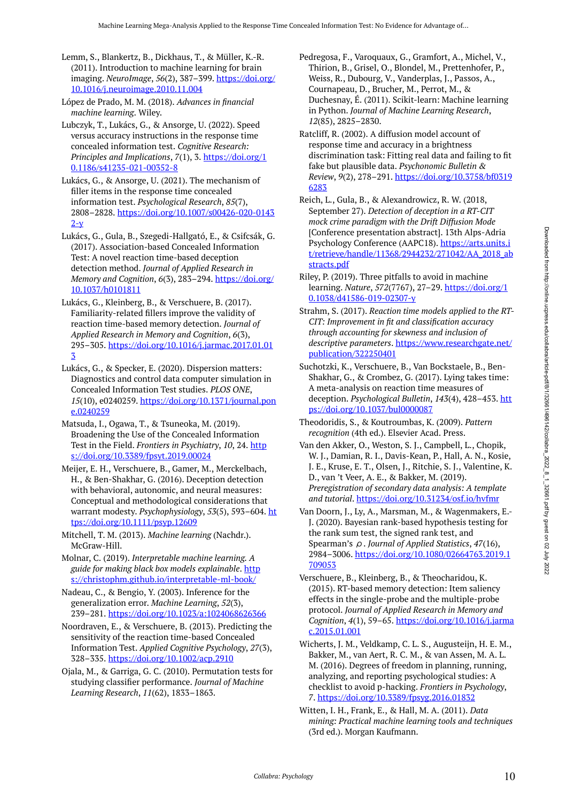Lemm, S., Blankertz, B., Dickhaus, T., & Müller, K.-R. (2011). Introduction to machine learning for brain imaging. *NeuroImage*, *56*(2), 387–399. [https://doi.org/](https://doi.org/10.1016/j.neuroimage.2010.11.004) [10.1016/j.neuroimage.2010.11.004](https://doi.org/10.1016/j.neuroimage.2010.11.004) 

López de Prado, M. M. (2018). *Advances in financial machine learning*. Wiley.

Lubczyk, T., Lukács, G., & Ansorge, U. (2022). Speed versus accuracy instructions in the response time concealed information test. *Cognitive Research: Principles and Implications*, *7*(1), 3. [https://doi.org/1](https://doi.org/10.1186/s41235-021-00352-8) [0.1186/s41235-021-00352-8](https://doi.org/10.1186/s41235-021-00352-8) 

Lukács, G., & Ansorge, U. (2021). The mechanism of filler items in the response time concealed information test. *Psychological Research*, *85*(7), 2808–2828. [https://doi.org/10.1007/s00426-020-0143](https://doi.org/10.1007/s00426-020-01432-y)  $2-y$ 

Lukács, G., Gula, B., Szegedi-Hallgató, E., & Csifcsák, G. (2017). Association-based Concealed Information Test: A novel reaction time-based deception detection method. *Journal of Applied Research in Memory and Cognition*, *6*(3), 283–294. [https://doi.org/](https://doi.org/10.1037/h0101811) [10.1037/h0101811](https://doi.org/10.1037/h0101811) 

Lukács, G., Kleinberg, B., & Verschuere, B. (2017). Familiarity-related fillers improve the validity of reaction time-based memory detection. *Journal of Applied Research in Memory and Cognition*, *6*(3), 295–305. [https://doi.org/10.1016/j.jarmac.2017.01.01](https://doi.org/10.1016/j.jarmac.2017.01.013) [3](https://doi.org/10.1016/j.jarmac.2017.01.013)

Lukács, G., & Specker, E. (2020). Dispersion matters: Diagnostics and control data computer simulation in Concealed Information Test studies. *PLOS ONE*, *15*(10), e0240259. [https://doi.org/10.1371/journal.pon](https://doi.org/10.1371/journal.pone.0240259) [e.0240259](https://doi.org/10.1371/journal.pone.0240259)

Matsuda, I., Ogawa, T., & Tsuneoka, M. (2019). Broadening the Use of the Concealed Information Test in the Field. *Frontiers in Psychiatry*, *10*, 24. [http](https://doi.org/10.3389/fpsyt.2019.00024) [s://doi.org/10.3389/fpsyt.2019.00024](https://doi.org/10.3389/fpsyt.2019.00024) 

Meijer, E. H., Verschuere, B., Gamer, M., Merckelbach, H., & Ben-Shakhar, G. (2016). Deception detection with behavioral, autonomic, and neural measures: Conceptual and methodological considerations that warrant modesty. *Psychophysiology*, *53*(5), 593–604. [ht](https://doi.org/10.1111/psyp.12609) [tps://doi.org/10.1111/psyp.12609](https://doi.org/10.1111/psyp.12609) 

Mitchell, T. M. (2013). *Machine learning* (Nachdr.). McGraw-Hill.

Molnar, C. (2019). *Interpretable machine learning. A guide for making black box models explainable*. [http](https://christophm.github.io/interpretable-ml-book/) [s://christophm.github.io/interpretable-ml-book/](https://christophm.github.io/interpretable-ml-book/) 

Nadeau, C., & Bengio, Y. (2003). Inference for the generalization error. *Machine Learning*, *52*(3), 239–281. <https://doi.org/10.1023/a:1024068626366>

Noordraven, E., & Verschuere, B. (2013). Predicting the sensitivity of the reaction time-based Concealed Information Test. *Applied Cognitive Psychology*, *27*(3), 328–335. <https://doi.org/10.1002/acp.2910>

Ojala, M., & Garriga, G. C. (2010). Permutation tests for studying classifier performance. *Journal of Machine Learning Research*, *11*(62), 1833–1863.

- Pedregosa, F., Varoquaux, G., Gramfort, A., Michel, V., Thirion, B., Grisel, O., Blondel, M., Prettenhofer, P., Weiss, R., Dubourg, V., Vanderplas, J., Passos, A., Cournapeau, D., Brucher, M., Perrot, M., & Duchesnay, É. (2011). Scikit-learn: Machine learning in Python. *Journal of Machine Learning Research*, *12*(85), 2825–2830.
- Ratcliff, R. (2002). A diffusion model account of response time and accuracy in a brightness discrimination task: Fitting real data and failing to fit fake but plausible data. *Psychonomic Bulletin & Review*, *9*(2), 278–291. [https://doi.org/10.3758/bf0319](https://doi.org/10.3758/bf03196283) [6283](https://doi.org/10.3758/bf03196283)
- Reich, L., Gula, B., & Alexandrowicz, R. W. (2018, September 27). *Detection of deception in a RT-CIT mock crime paradigm with the Drift Diffusion Mode*  [Conference presentation abstract]. 13th Alps-Adria Psychology Conference (AAPC18). [https://arts.units.i](https://arts.units.it/retrieve/handle/11368/2944232/271042/AA_2018_abstracts.pdf) [t/retrieve/handle/11368/2944232/271042/AA\\_2018\\_ab](https://arts.units.it/retrieve/handle/11368/2944232/271042/AA_2018_abstracts.pdf) [stracts.pdf](https://arts.units.it/retrieve/handle/11368/2944232/271042/AA_2018_abstracts.pdf)
- Riley, P. (2019). Three pitfalls to avoid in machine learning. *Nature*, *572*(7767), 27–29. [https://doi.org/1](https://doi.org/10.1038/d41586-019-02307-y) [0.1038/d41586-019-02307-y](https://doi.org/10.1038/d41586-019-02307-y)
- Strahm, S. (2017). *Reaction time models applied to the RT-CIT: Improvement in fit and classification accuracy through accounting for skewness and inclusion of descriptive parameters*. [https://www.researchgate.net/](https://www.researchgate.net/publication/322250401) [publication/322250401](https://www.researchgate.net/publication/322250401)
- Suchotzki, K., Verschuere, B., Van Bockstaele, B., Ben-Shakhar, G., & Crombez, G. (2017). Lying takes time: A meta-analysis on reaction time measures of deception. *Psychological Bulletin*, *143*(4), 428–453. [htt](https://doi.org/10.1037/bul0000087) [ps://doi.org/10.1037/bul0000087](https://doi.org/10.1037/bul0000087)
- Theodoridis, S., & Koutroumbas, K. (2009). *Pattern recognition* (4th ed.). Elsevier Acad. Press.
- Van den Akker, O., Weston, S. J., Campbell, L., Chopik, W. J., Damian, R. I., Davis-Kean, P., Hall, A. N., Kosie, J. E., Kruse, E. T., Olsen, J., Ritchie, S. J., Valentine, K. D., van 't Veer, A. E., & Bakker, M. (2019). *Preregistration of secondary data analysis: A template and tutorial*.<https://doi.org/10.31234/osf.io/hvfmr>
- Van Doorn, J., Ly, A., Marsman, M., & Wagenmakers, E.- J. (2020). Bayesian rank-based hypothesis testing for the rank sum test, the signed rank test, and Spearman's ρ. *Journal of Applied Statistics*, *47*(16), 2984–3006. [https://doi.org/10.1080/02664763.2019.1](https://doi.org/10.1080/02664763.2019.1709053) [709053](https://doi.org/10.1080/02664763.2019.1709053)
- Verschuere, B., Kleinberg, B., & Theocharidou, K. (2015). RT-based memory detection: Item saliency effects in the single-probe and the multiple-probe protocol. *Journal of Applied Research in Memory and Cognition*, *4*(1), 59–65. [https://doi.org/10.1016/j.jarma](https://doi.org/10.1016/j.jarmac.2015.01.001) [c.2015.01.001](https://doi.org/10.1016/j.jarmac.2015.01.001)
- Wicherts, J. M., Veldkamp, C. L. S., Augusteijn, H. E. M., Bakker, M., van Aert, R. C. M., & van Assen, M. A. L. M. (2016). Degrees of freedom in planning, running, analyzing, and reporting psychological studies: A checklist to avoid p-hacking. *Frontiers in Psychology*, *7*. <https://doi.org/10.3389/fpsyg.2016.01832>
- Witten, I. H., Frank, E., & Hall, M. A. (2011). *Data mining: Practical machine learning tools and techniques*  (3rd ed.). Morgan Kaufmann.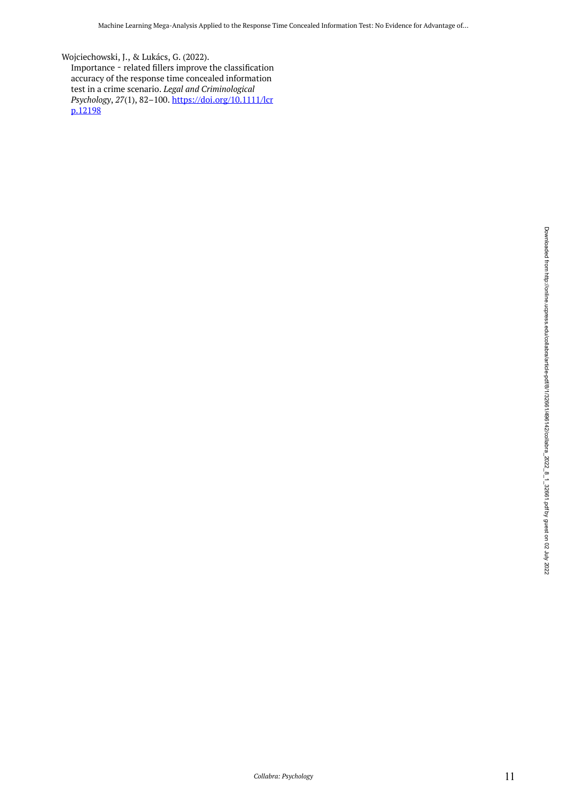Wojciechowski, J., & Lukács, G. (2022). Importance - related fillers improve the classification accuracy of the response time concealed information test in a crime scenario. *Legal and Criminological Psychology*, *27*(1), 82–100. [https://doi.org/10.1111/lcr](https://doi.org/10.1111/lcrp.12198) [p.12198](https://doi.org/10.1111/lcrp.12198)